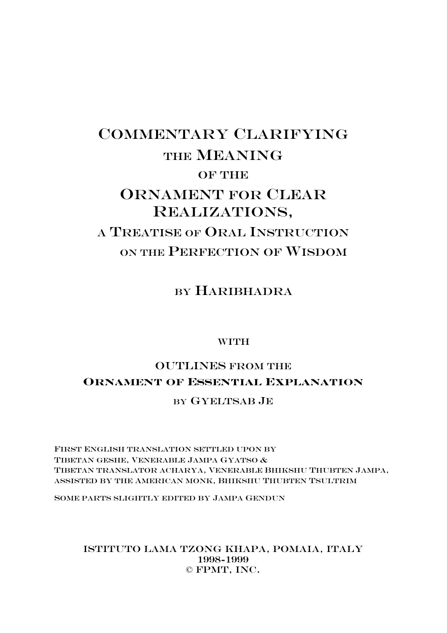# COMMENTARY CLARIFYING THE MEANING OF THE ORNAMENT FOR CLEAR REALIZATIONS, A TREATISE OF ORAL INSTRUCTION ON THE PERFECTION OF WISDOM

BY HARIBHADRA

# **WITH**

# OUTLINES FROM THE **ORNAMENT OF ESSENTIAL EXPLANATION**

# BY GYELTSAB JE

FIRST ENGLISH TRANSLATION SETTLED UPON BY TIBETAN GESHE, VENERABLE JAMPA GYATSO & TIBETAN TRANSLATOR ACHARYA, VENERABLE BHIKSHU THUBTEN JAMPA, ASSISTED BY THE AMERICAN MONK, BHIKSHU THUBTEN TSULTRIM

SOME PARTS SLIGHTLY EDITED BY JAMPA GENDUN

# Istituto Lama Tzong Khapa, Pomaia, Italy 1998-1999 © FPMT, Inc.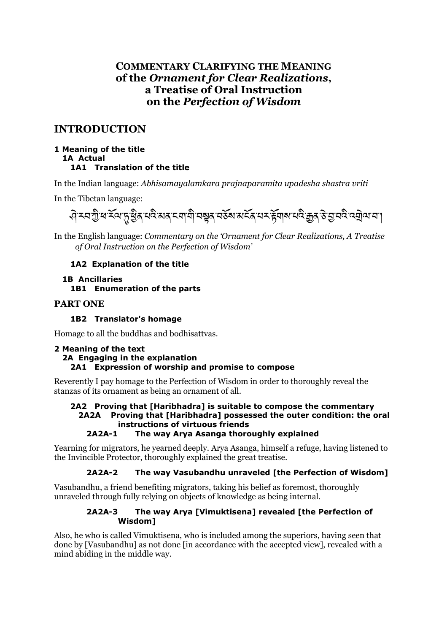# **COMMENTARY CLARIFYING THE MEANING** of the Ornament for Clear Realizations. a Treatise of Oral Instruction on the Perfection of Wisdom

# **INTRODUCTION**

### 1 Meaning of the title **1A Actual** 1A1 Translation of the title

In the Indian language: Abhisamayalamkara prajnaparamita upadesha shastra vriti

In the Tibetan language:

# ॵॖॸय़ऄॗऀख़ॱड़ॕॺॱॸॢॱॺॗऀढ़ॱय़ॺॆॱॺॺ<sub>ॕ</sub>ॸॺग़ॺॏॱॺॺॗढ़ॱॺॶॕॺॱॺॸॕढ़ॱय़ॸॱ<del>ढ़</del>ॖॕॺऻॺॱय़ॺॆॱक़ॗढ़ॱड़ॱॖॼॸऀॱॺॿॊॖॺॱॸॱॱ

In the English language: Commentary on the 'Ornament for Clear Realizations, A Treatise of Oral Instruction on the Perfection of Wisdom'

## 1A2 Explanation of the title

### **1B Ancillaries** 1B1 Enumeration of the parts

# **PART ONE**

# 1B2 Translator's homage

Homage to all the buddhas and bodhisattvas.

### 2 Meaning of the text 2A Engaging in the explanation 2A1 Expression of worship and promise to compose

Reverently I pay homage to the Perfection of Wisdom in order to thoroughly reveal the stanzas of its ornament as being an ornament of all.

# 2A2 Proving that [Haribhadra] is suitable to compose the commentary 2A2A Proving that [Haribhadra] possessed the outer condition: the oral instructions of virtuous friends

#### $2A2A-1$ The way Arya Asanga thoroughly explained

Yearning for migrators, he yearned deeply. Arya Asanga, himself a refuge, having listened to the Invincible Protector, thoroughly explained the great treatise.

#### $2A2A-2$ The way Vasubandhu unraveled [the Perfection of Wisdom]

Vasubandhu, a friend benefiting migrators, taking his belief as foremost, thoroughly unraveled through fully relying on objects of knowledge as being internal.

#### The way Arya [Vimuktisena] revealed [the Perfection of  $2A2A-3$ Wisdom1

Also, he who is called Vimuktisena, who is included among the superiors, having seen that done by [Vasubandhu] as not done [in accordance with the accepted view], revealed with a mind abiding in the middle way.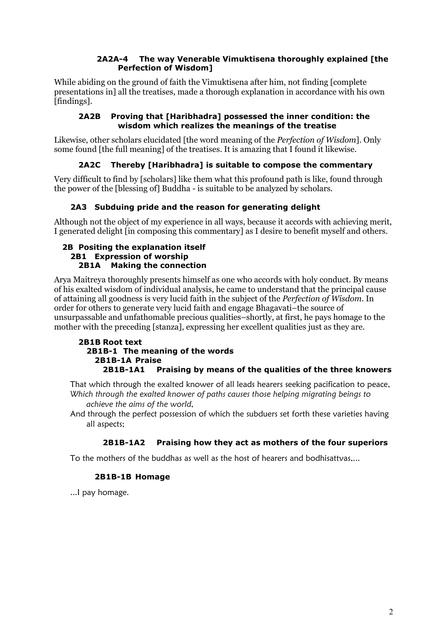### **2A2A-4 The way Venerable Vimuktisena thoroughly explained [the Perfection of Wisdom]**

While abiding on the ground of faith the Vimuktisena after him, not finding [complete presentations in] all the treatises, made a thorough explanation in accordance with his own [findings].

### **2A2B Proving that [Haribhadra] possessed the inner condition: the wisdom which realizes the meanings of the treatise**

Likewise, other scholars elucidated [the word meaning of the *Perfection of Wisdom*]. Only some found [the full meaning] of the treatises. It is amazing that I found it likewise.

# **2A2C Thereby [Haribhadra] is suitable to compose the commentary**

Very difficult to find by [scholars] like them what this profound path is like, found through the power of the [blessing of] Buddha - is suitable to be analyzed by scholars.

# **2A3 Subduing pride and the reason for generating delight**

Although not the object of my experience in all ways, because it accords with achieving merit, I generated delight [in composing this commentary] as I desire to benefit myself and others.

### **2B Positing the explanation itself 2B1 Expression of worship 2B1A Making the connection**

Arya Maitreya thoroughly presents himself as one who accords with holy conduct. By means of his exalted wisdom of individual analysis, he came to understand that the principal cause of attaining all goodness is very lucid faith in the subject of the *Perfection of Wisdom*. In order for others to generate very lucid faith and engage Bhagavati–the source of unsurpassable and unfathomable precious qualities–shortly, at first, he pays homage to the mother with the preceding [stanza], expressing her excellent qualities just as they are.

### **2B1B Root text 2B1B-1 The meaning of the words 2B1B-1A Praise 2B1B-1A1 Praising by means of the qualities of the three knowers**

That which through the exalted knower of all leads hearers seeking pacification to peace, *Which through the exalted knower of paths causes those helping migrating beings to achieve the aims of the world,* 

And through the perfect possession of which the subduers set forth these varieties having all aspects;

## **2B1B-1A2 Praising how they act as mothers of the four superiors**

To the mothers of the buddhas as well as the host of hearers and bodhisattvas,...

### **2B1B-1B Homage**

...I pay homage.